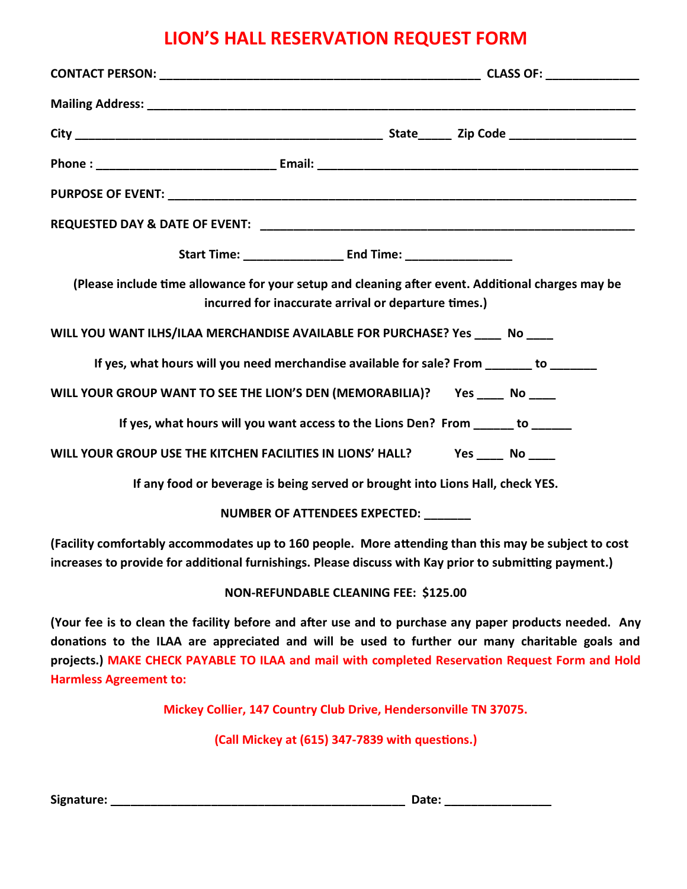## LION'S HALL RESERVATION REQUEST FORM

| (Please include time allowance for your setup and cleaning after event. Additional charges may be<br>incurred for inaccurate arrival or departure times.)                                                      |                                                                                                                                                                                                                                                                                                              |
|----------------------------------------------------------------------------------------------------------------------------------------------------------------------------------------------------------------|--------------------------------------------------------------------------------------------------------------------------------------------------------------------------------------------------------------------------------------------------------------------------------------------------------------|
|                                                                                                                                                                                                                | WILL YOU WANT ILHS/ILAA MERCHANDISE AVAILABLE FOR PURCHASE? Yes _____ No ____                                                                                                                                                                                                                                |
|                                                                                                                                                                                                                | If yes, what hours will you need merchandise available for sale? From _______ to _______                                                                                                                                                                                                                     |
|                                                                                                                                                                                                                | WILL YOUR GROUP WANT TO SEE THE LION'S DEN (MEMORABILIA)? Yes ____ No ____                                                                                                                                                                                                                                   |
|                                                                                                                                                                                                                | If yes, what hours will you want access to the Lions Den? From ______ to ______                                                                                                                                                                                                                              |
|                                                                                                                                                                                                                | WILL YOUR GROUP USE THE KITCHEN FACILITIES IN LIONS' HALL? Yes _____ No ____                                                                                                                                                                                                                                 |
| If any food or beverage is being served or brought into Lions Hall, check YES.                                                                                                                                 |                                                                                                                                                                                                                                                                                                              |
| NUMBER OF ATTENDEES EXPECTED: _______                                                                                                                                                                          |                                                                                                                                                                                                                                                                                                              |
| (Facility comfortably accommodates up to 160 people. More attending than this may be subject to cost<br>increases to provide for additional furnishings. Please discuss with Kay prior to submitting payment.) |                                                                                                                                                                                                                                                                                                              |
| <b>NON-REFUNDABLE CLEANING FEE: \$125.00</b>                                                                                                                                                                   |                                                                                                                                                                                                                                                                                                              |
|                                                                                                                                                                                                                | (Your fee is to clean the facility before and after use and to purchase any paper products needed. Any<br>donations to the ILAA are appreciated and will be used to further our many charitable goals and<br>projects.) MAKE CHECK PAYABLE TO ILAA and mail with completed Reservation Request Form and Hold |

Harmless Agreement to:

Mickey Collier, 147 Country Club Drive, Hendersonville TN 37075.

(Call Mickey at (615) 347-7839 with questions.)

Signature: \_\_\_\_\_\_\_\_\_\_\_\_\_\_\_\_\_\_\_\_\_\_\_\_\_\_\_\_\_\_\_\_\_\_\_\_\_\_\_\_\_\_\_\_ Date: \_\_\_\_\_\_\_\_\_\_\_\_\_\_\_\_